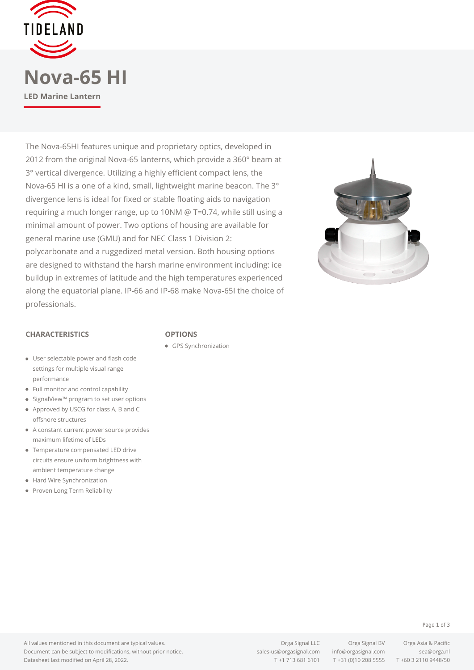

The Nova-65HI features unique and proprietary optics, developed in 2012 from the original Nova-65 lanterns, which provide a 360° beam at 3° vertical divergence. Utilizing a highly efficient compact lens, the Nova-65 HI is a one of a kind, small, lightweight marine beacon. The 3° divergence lens is ideal for fixed or stable floating aids to navigation requiring a much longer range, up to 10NM @ T=0.74, while still using a minimal amount of power. Two options of housing are available for general marine use (GMU) and for NEC Class 1 Division 2: polycarbonate and a ruggedized metal version. Both housing options are designed to withstand the harsh marine environment including: ice buildup in extremes of latitude and the high temperatures experienced along the equatorial plane. IP-66 and IP-68 make Nova-65I the choice of professionals.



## **CHARACTERISTICS**

## **OPTIONS**

- GPS Synchronization
- User selectable power and flash code settings for multiple visual range performance
- Full monitor and control capability
- SignalView™ program to set user options
- Approved by USCG for class A, B and C offshore structures
- A constant current power source provides maximum lifetime of LEDs
- Temperature compensated LED drive circuits ensure uniform brightness with ambient temperature change
- Hard Wire Synchronization
- Proven Long Term Reliability

T +1 713 681 6101 T +31 (0)10 208 5555 T +60 3 2110 9448/50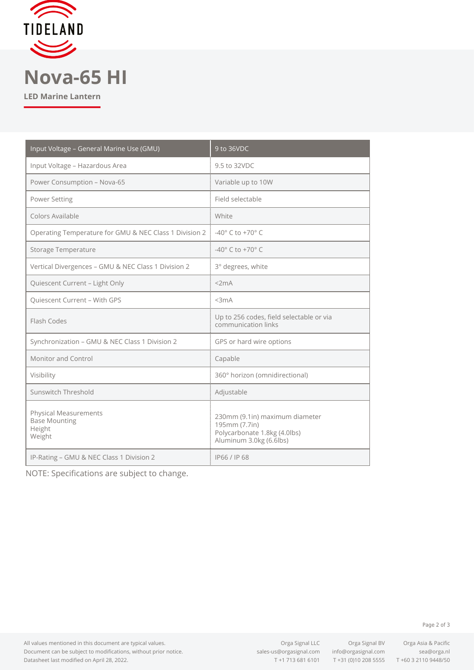

**LED Marine Lantern**

| Input Voltage - General Marine Use (GMU)                                 | 9 to 36VDC                                                                                                 |
|--------------------------------------------------------------------------|------------------------------------------------------------------------------------------------------------|
| Input Voltage - Hazardous Area                                           | 9.5 to 32VDC                                                                                               |
| Power Consumption - Nova-65                                              | Variable up to 10W                                                                                         |
| Power Setting                                                            | Field selectable                                                                                           |
| Colors Available                                                         | White                                                                                                      |
| Operating Temperature for GMU & NEC Class 1 Division 2 is                | $-40^\circ$ C to $+70^\circ$ C                                                                             |
| <b>Storage Temperature</b>                                               | $-40^{\circ}$ C to $+70^{\circ}$ C                                                                         |
| Vertical Divergences - GMU & NEC Class 1 Division 2                      | 3° degrees, white                                                                                          |
| Quiescent Current - Light Only                                           | <2mA                                                                                                       |
| <b>Quiescent Current - With GPS</b>                                      | $3mA$                                                                                                      |
| Flash Codes                                                              | Up to 256 codes, field selectable or via<br>communication links                                            |
| Synchronization - GMU & NEC Class 1 Division 2                           | GPS or hard wire options                                                                                   |
| <b>Monitor and Control</b>                                               | Capable                                                                                                    |
| Visibility                                                               | 360° horizon (omnidirectional)                                                                             |
| Sunswitch Threshold                                                      | Adjustable                                                                                                 |
| <b>Physical Measurements</b><br><b>Base Mounting</b><br>Height<br>Weight | 230mm (9.1in) maximum diameter<br>195mm (7.7in)<br>Polycarbonate 1.8kg (4.0lbs)<br>Aluminum 3.0kg (6.6lbs) |
| IP-Rating - GMU & NEC Class 1 Division 2                                 | IP66 / IP68                                                                                                |

NOTE: Specifications are subject to change.

All values mentioned in this document are typical values. Document can be subject to modifications, without prior notice. Datasheet last modified on April 28, 2022.

T +1 713 681 6101 T +31 (0)10 208 5555 T +60 3 2110 9448/50

Page 2 of 3